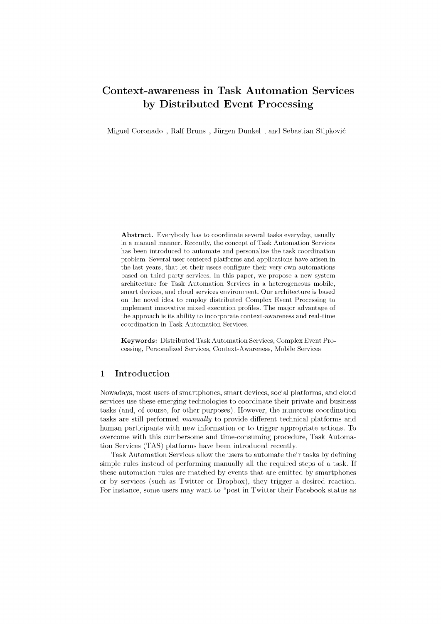# Context-awareness in Task Automation Services by Distributed Event Processing

Miguel Coronado , Ralf Bruns , Jiirgen Dunkel , and Sebastian Stipkovic

**Abstract.** Everybody has to coordinate several tasks everyday, usually in a manual manner. Recently, the concept of Task Automation Services has been introduced to automate and personalize the task coordination problem. Several user centered platforms and applications have arisen in the last years, that let their users configure their very own automations based on third party services. In this paper, we propose a new system architecture for Task Automation Services in a heterogeneous mobile, smart devices, and cloud services environment. Our architecture is based on the novel idea to employ distributed Complex Event Processing to implement innovative mixed execution profiles. The major advantage of the approach is its ability to incorporate context-awareness and real-time coordination in Task Automation Services.

Keywords: Distributed Task Automation Services, Complex Event Processing, Personalized Services, Context-Awareness, Mobile Services

# 1 Introduction

Nowadays, most users of smartphones, smart devices, social platforms, and cloud services use these emerging technologies to coordinate their private and business tasks (and, of course, for other purposes). However, the numerous coordination tasks are still performed *manually* to provide different technical platforms and human participants with new information or to trigger appropriate actions. To overcome with this cumbersome and time-consuming procedure, Task Automation Services (TAS) platforms have been introduced recently.

Task Automation Services allow the users to automate their tasks by defining simple rules instead of performing manually all the required steps of a task. If these automation rules are matched by events that are emitted by smartphones or by services (such as Twitter or Dropbox), they trigger a desired reaction. For instance, some users may want to "post in Twitter their Facebook status as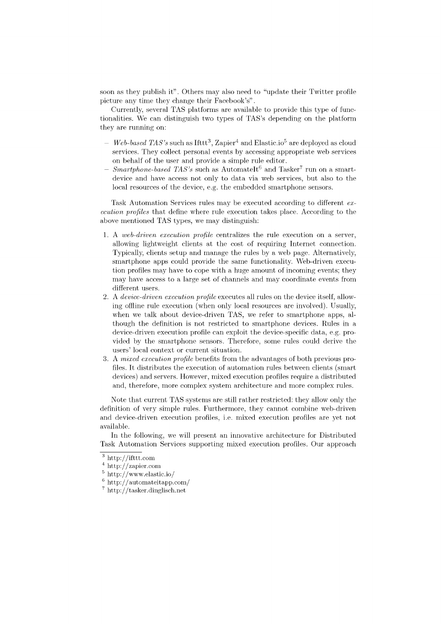soon as they publish it". Others may also need to "update their Twitter profile picture any time they change their Facebook's".

Currently, several TAS platforms are available to provide this type of functionalities. We can distinguish two types of TAS's depending on the platform they are running on:

- $-$  *Web-based TAS's* such as Ifttt<sup>3</sup>, Zapier<sup>4</sup> and Elastic.io<sup>5</sup> are deployed as cloud services. They collect personal events by accessing appropriate web services on behalf of the user and provide a simple rule editor.
- $-$  *Smartphone-based TAS's* such as AutomateIt<sup>6</sup> and Tasker<sup>7</sup> run on a smartdevice and have access not only to data via web services, but also to the local resources of the device, e.g. the embedded smartphone sensors.

Task Automation Services rules may be executed according to different *execution profiles* that define where rule execution takes place. According to the above mentioned TAS types, we may distinguish:

- 1. A *web-driven execution profile* centralizes the rule execution on a server, allowing lightweight clients at the cost of requiring Internet connection. Typically, clients setup and manage the rules by a web page. Alternatively, smartphone apps could provide the same functionality. Web-driven execution profiles may have to cope with a huge amount of incoming events; they may have access to a large set of channels and may coordinate events from different users.
- 2. A *device-driven execution profile* executes all rules on the device itself, allowing offline rule execution (when only local resources are involved). Usually, when we talk about device-driven TAS, we refer to smartphone apps, although the definition is not restricted to smartphone devices. Rules in a device-driven execution profile can exploit the device-specific data, e.g. provided by the smartphone sensors. Therefore, some rules could derive the users' local context or current situation.
- 3. A *mixed execution profile* benefits from the advantages of both previous profiles. It distributes the execution of automation rules between clients (smart devices) and servers. However, mixed execution profiles require a distributed and, therefore, more complex system architecture and more complex rules.

Note that current TAS systems are still rather restricted: they allow only the definition of very simple rules. Furthermore, they cannot combine web-driven and device-driven execution profiles, i.e. mixed execution profiles are yet not available.

In the following, we will present an innovative architecture for Distributed Task Automation Services supporting mixed execution profiles. Our approach

 $3$  <http://ifttt.com>

<sup>4</sup> <http://zapier.com>

<sup>5</sup> <http://www.elastic.io/>

<sup>6</sup> <http://automateitapp.com/>

<sup>7</sup> <http://tasker.dinglisch.net>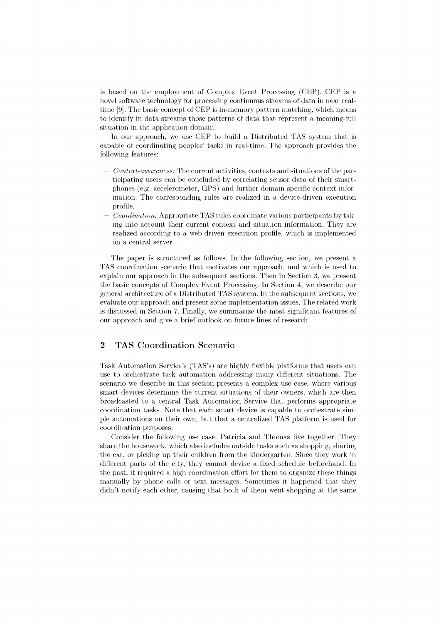is based on the employment of Complex Event Processing (CEP). CEP is a novel software technology for processing continuous streams of data in near realtime [9]. The basic concept of CEP is in-memory pattern matching, which means to identify in data streams those patterns of data that represent a meaning-full situation in the application domain.

In our approach, we use CEP to build a Distributed TAS system that is capable of coordinating peoples' tasks in real-time. The approach provides the following features:

- — *Context-awareness:* The current activities, contexts and situations of the participating users can be concluded by correlating sensor data of their smartphones (e.g. accelerometer, GPS) and further domain-specific context information. The corresponding rules are realized in a device-driven execution profile.
- — *Coordination:* Appropriate TAS rules coordinate various participants by taking into account their current context and situation information. They are realized according to a web-driven execution profile, which is implemented on a central server.

The paper is structured as follows. In the following section, we present a TAS coordination scenario that motivates our approach, and which is used to explain our approach in the subsequent sections. Then in Section 3, we present the basic concepts of Complex Event Processing. In Section 4, we describe our general architecture of a Distributed TAS system. In the subsequent sections, we evaluate our approach and present some implementation issues. The related work is discussed in Section 7. Finally, we summarize the most significant features of our approach and give a brief outlook on future lines of research.

# 2 TAS Coordination Scenario

Task Automation Service's (TAS's) are highly flexible platforms that users can use to orchestrate task automation addressing many different situations. The scenario we describe in this section presents a complex use case, where various smart devices determine the current situations of their owners, which are then broadcasted to a central Task Automation Service that performs appropriate coordination tasks. Note that each smart device is capable to orchestrate simple automations on their own, but that a centralized TAS platform is used for coordination purposes.

Consider the following use case: Patricia and Thomas live together. They share the housework, which also includes outside tasks such as shopping, sharing the car, or picking up their children from the kindergarten. Since they work in different parts of the city, they cannot devise a fixed schedule beforehand. In the past, it required a high coordination effort for them to organize these things manually by phone calls or text messages. Sometimes it happened that they didn't notify each other, causing that both of them went shopping at the same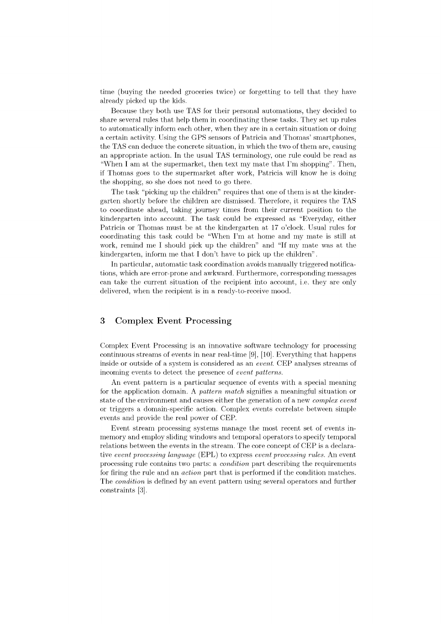time (buying the needed groceries twice) or forgetting to tell that they have already picked up the kids.

Because they both use TAS for their personal automations, they decided to share several rules that help them in coordinating these tasks. They set up rules to automatically inform each other, when they are in a certain situation or doing a certain activity. Using the GPS sensors of Patricia and Thomas' smartphones, the TAS can deduce the concrete situation, in which the two of them are, causing an appropriate action. In the usual TAS terminology, one rule could be read as "When I am at the supermarket, then text my mate that I'm shopping". Then, if Thomas goes to the supermarket after work, Patricia will know he is doing the shopping, so she does not need to go there.

The task "picking up the children" requires that one of them is at the kindergarten shortly before the children are dismissed. Therefore, it requires the TAS to coordinate ahead, taking journey times from their current position to the kindergarten into account. The task could be expressed as "Everyday, either Patricia or Thomas must be at the kindergarten at 17 o'clock. Usual rules for coordinating this task could be "When I'm at home and my mate is still at work, remind me I should pick up the children" and "If my mate was at the kindergarten, inform me that I don't have to pick up the children".

In particular, automatic task coordination avoids manually triggered notifications, which are error-prone and awkward. Furthermore, corresponding messages can take the current situation of the recipient into account, i.e. they are only delivered, when the recipient is in a ready-to-receive mood.

# 3 Complex Event Processing

Complex Event Processing is an innovative software technology for processing continuous streams of events in near real-time [9], [10]. Everything that happens inside or outside of a system is considered as an *event.* CEP analyses streams of incoming events to detect the presence of *event patterns.* 

An event pattern is a particular sequence of events with a special meaning for the application domain. A *pattern match* signifies a meaningful situation or state of the environment and causes either the generation of a new *complex event*  or triggers a domain-specific action. Complex events correlate between simple events and provide the real power of CEP.

Event stream processing systems manage the most recent set of events inmemory and employ sliding windows and temporal operators to specify temporal relations between the events in the stream. The core concept of CEP is a declarative *event processing language* (EPL) to express *event processing rules.* An event processing rule contains two parts: a *condition* part describing the requirements for firing the rule and an *action* part that is performed if the condition matches. The *condition* is defined by an event pattern using several operators and further constraints [3].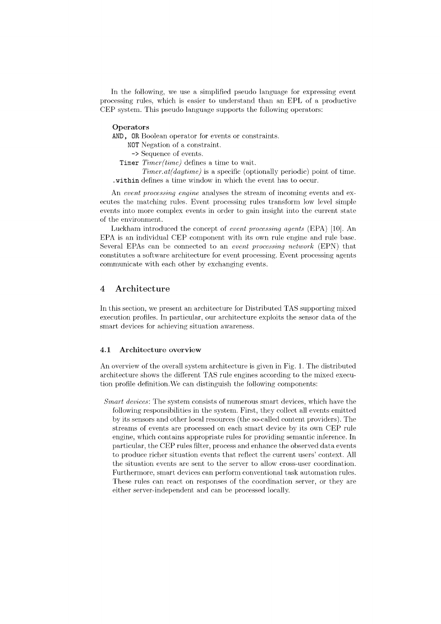In the following, we use a simplified pseudo language for expressing event processing rules, which is easier to understand than an EPL of a productive CEP system. This pseudo language supports the following operators:

### **Operators**

**AND, OR** Boolean operator for events or constraints.

NOT Negation of a constraint.

-> Sequence of events.

**Timer** *Timer (time)* defines a time to wait.

*Timer.at(daytime)* is a specific (optionally periodic) point of time, **.within** defines a time window in which the event has to occur.

An *event processing engine* analyses the stream of incoming events and executes the matching rules. Event processing rules transform low level simple events into more complex events in order to gain insight into the current state of the environment.

Luckham introduced the concept of *event processing agents* (EPA) [10]. An EPA is an individual CEP component with its own rule engine and rule base. Several EPAs can be connected to an *event processing network* (EPN) that constitutes a software architecture for event processing. Event processing agents communicate with each other by exchanging events.

## 4 Architecture

In this section, we present an architecture for Distributed TAS supporting mixed execution profiles. In particular, our architecture exploits the sensor data of the smart devices for achieving situation awareness.

#### **4.1 Architecture overview**

An overview of the overall system architecture is given in Fig. 1. The distributed architecture shows the different TAS rule engines according to the mixed execution profile definition.We can distinguish the following components:

*Smart devices:* The system consists of numerous smart devices, which have the following responsibilities in the system. First, they collect all events emitted by its sensors and other local resources (the so-called content providers). The streams of events are processed on each smart device by its own CEP rule engine, which contains appropriate rules for providing semantic inference. In particular, the CEP rules filter, process and enhance the observed data events to produce richer situation events that reflect the current users' context. All the situation events are sent to the server to allow cross-user coordination. Furthermore, smart devices can perform conventional task automation rules. These rules can react on responses of the coordination server, or they are either server-independent and can be processed locally.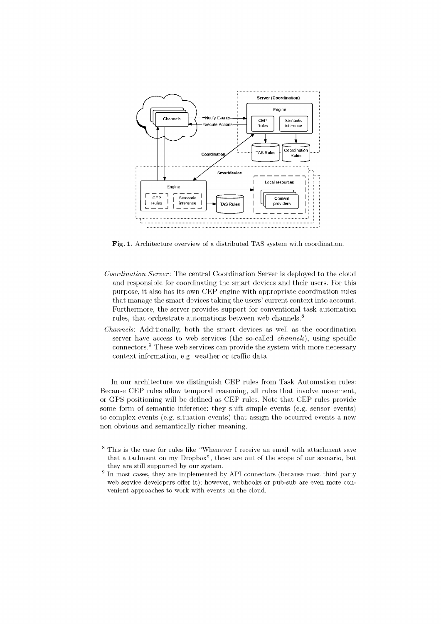

**Fig.** 1. Architecture overview of a distributed TAS system with coordination.

- *Coordination Server:* The central Coordination Server is deployed to the cloud and responsible for coordinating the smart devices and their users. For this purpose, it also has its own CEP engine with appropriate coordination rules that manage the smart devices taking the users' current context into account. Furthermore, the server provides support for conventional task automation rules, that orchestrate automations between web channels.<sup>8</sup>
- *Channels:* Additionally, both the smart devices as well as the coordination server have access to web services (the so-called *channels),* using specific connectors.<sup>9</sup> These web services can provide the system with more necessary context information, e.g. weather or traffic data.

In our architecture we distinguish CEP rules from Task Automation rules: Because CEP rules allow temporal reasoning, all rules that involve movement, or GPS positioning will be defined as CEP rules. Note tha t CEP rules provide some form of semantic inference: they shift simple events (e.g. sensor events) to complex events (e.g. situation events) that assign the occurred events a new non-obvious and semantically richer meaning.

<sup>8</sup> This is the case for rules like "Whenever I receive an email with attachment save that attachment on my Dropbox", those are out of the scope of our scenario, but they are still supported by our system.

<sup>&</sup>lt;sup>9</sup> In most cases, they are implemented by API connectors (because most third party web service developers offer it); however, webhooks or pub-sub are even more convenient approaches to work with events on the cloud.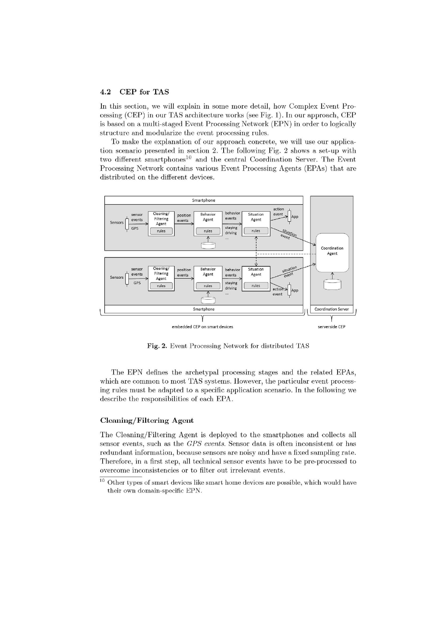#### 4.2 **CEP for TAS**

In this section, we will explain in some more detail, how Complex Event Processing (CEP) in our TAS architecture works (see Fig. 1). In our approach, CEP is based on a multi-staged Event Processing Network (EPN) in order to logically structure and modularize the event processing rules.

To make the explanation of our approach concrete, we will use our application scenario presented in section 2. The following Fig. 2 shows a set-up with two different smartphones<sup>10</sup> and the central Coordination Server. The Event Processing Network contains various Event Processing Agents (EPAs) that are distributed on the different devices.



**Fig.** 2. Event Processing Network for distributed TAS

The EPN defines the archetypal processing stages and the related EPAs, which are common to most TAS systems. However, the particular event processing rules must be adapted to a specific application scenario. In the following we describe the responsibilities of each EPA.

#### **Cleaning/Filtering Agent**

The Cleaning/Filtering Agent is deployed to the smartphones and collects all sensor events, such as the *GPS events.* Sensor data is often inconsistent or has redundant information, because sensors are noisy and have a fixed sampling rate. Therefore, in a first step, all technical sensor events have to be pre-processed to overcome inconsistencies or to filter out irrelevant events.

<sup>&</sup>lt;sup>10</sup> Other types of smart devices like smart home devices are possible, which would have their own domain-specific EPN.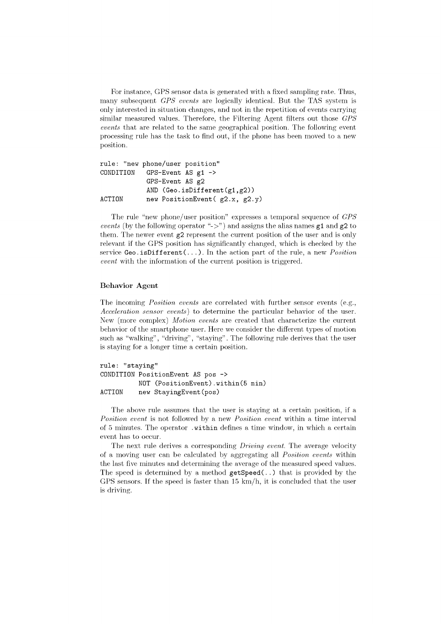For instance, **GPS** sensor data is generated with a fixed sampling rate. Thus, many subsequent *GPS events* are logically identical. But the TAS system is only interested in situation changes, and not in the repetition of events carrying similar measured values. Therefore, the Filtering Agent filters out those *GPS events* that are related to the same geographical position. The following event processing rule has the task to find out, if the phone has been moved to a new position.

```
rule : "new phone/user position " 
CONDITION GPS-Event AS g1 ->
            GPS-Event AS g2 
            AND (Geo.isDifferent(gl,g2)) 
ACTION new PositionEvent( g2.x , g2.y )
```
The rule "new phone/user position" expresses a temporal sequence of *GPS events* (by the following operator "->") and assigns the alias names  $g1$  and  $g2$  to them. The newer event  $g2$  represent the current position of the user and is only relevant if the **GPS** position has significantly changed, which is checked by the service Geo. isDifferent(...). In the action part of the rule, a new *Position event* with the information of the current position is triggered.

#### **Behavior Agent**

The incoming *Position events* are correlated with further sensor events (e.g., *Acceleration sensor events)* to determine the particular behavior of the user. New (more complex) *Motion events* are created that characterize the current behavior of the smartphone user. Here we consider the different types of motion such as "walking", "driving", "staying". The following rule derives that the user is staying for a longer time a certain position.

```
rule : "staying" 
CONDITION PositionEvent AS pos -> 
          NOT (PositionEvent).within( 5 min) 
ACTION new StayingEvent(pos)
```
The above rule assumes that the user is staying at a certain position, if a *Position event* is not followed by a new *Position event* within a time interval of 5 minutes. The operator **.within** defines a time window, in which a certain event has to occur.

The next rule derives a corresponding *Driving event.* The average velocity of a moving user can be calculated by aggregating all *Position events* within the last five minutes and determining the average of the measured speed values. The speed is determined by a method  $getSpeed( ...)$  that is provided by the GPS sensors. If the speed is faster than 15 km/h, it is concluded that the user is driving.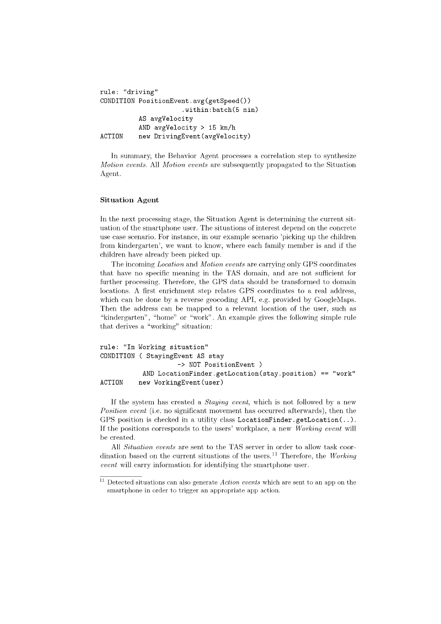```
rule: "driving" 
CONDITION PositionEvent.avg(getSpeed()) 
                      .within:batch(5 min) 
          AS avgVelocity 
          AND avgVelocity > 15 km/h 
ACTION new DrivingEvent(avgVelocity)
```
**In** summary, the Behavior Agent processes a correlation step to synthesize *Motion events.* All *Motion events* are subsequently propagated to the Situation Agent.

### **Situation Agent**

**In** the next processing stage, the Situation Agent is determining the current situation of the smartphone user. The situations of interest depend on the concrete use case scenario. For instance, in our example scenario 'picking up the children from kindergarten', we want to know, where each family member is and if the children have already been picked up.

The incoming *Location* and *Motion events* are carrying only GPS coordinates that have no specific meaning in the TAS domain, and are not sufficient for further processing. Therefore, the GPS data should be transformed to domain locations. A first enrichment step relates GPS coordinates to a real address, which can be done by a reverse geocoding API, e.g. provided by GoogleMaps. Then the address can be mapped to a relevant location of the user, such as "kindergarten", "home" or "work". An example gives the following simple rule that derives a "working" situation:

```
rule : "In Working situation " 
CONDITION ( StayingEvent AS stay
                    -> NOT PositionEvent ) 
           AND LocationFinder.getLocation(stay.position) == "work" 
ACTION new WorkingEvent(user)
```
**If** the system has created a *Staying event,* which is not followed by a new *Position event* (i.e. no significant movement has occurred afterwards), then the GPS position is checked in a utility class **LocationFinder.getLocation(**. .) . **If** the positions corresponds to the users' workplace, a new *Working event* will be created.

All *Situation events* are sent to the TAS server in order to allow task coordination based on the current situations of the users.<sup>11</sup> Therefore, the *Working event* will carry information for identifying the smartphone user.

<sup>11</sup> Detected situations can also generate *Action events* which are sent to an app on the smartphone in order to trigger an appropriate app action.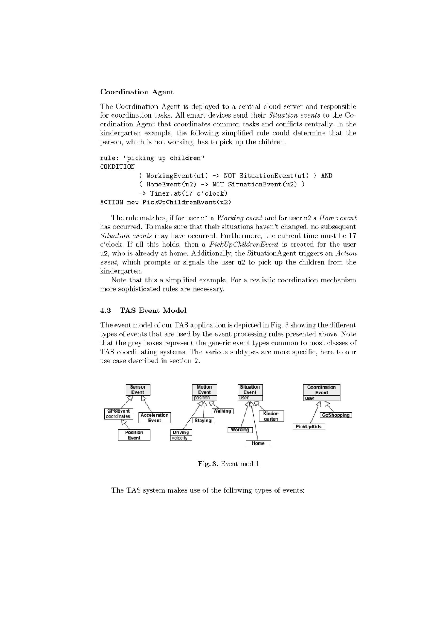#### **Coordination Agent**

The Coordination Agent is deployed to a central cloud server and responsible for coordination tasks. All smart devices send their *Situation events* to the Coordination Agent tha t coordinates common tasks and conflicts centrally. In the kindergarten example, the following simplified rule could determine that the person, which is not working, has to pick up the children.

```
rule: "picking up children"
CONDITION 
          ( WorkingEvent(ul) -> NOT SituationEvent(ul) ) AND 
          ( HomeEvent(u2) -> NOT SituationEvent(u2) )
          \rightarrow Timer.at(17 o'clock)
ACTION new PickUpChildrenEvent(u2)
```
The rule matches, if for user **u1** a *Working event* and for user **u2** a *Home event* has occurred. To make sure that their situations haven't changed, no subsequent *Situation events* may have occurred. Furthermore, the current time must be 17 o'clock. If all this holds, then a *PickUpChildrenEvent* is created for the user u2, who is already at home. Additionally, the SituationAgent triggers an *Action event,* which prompts or signals the user u2 to pick up the children from the kindergarten.

Note that this a simplified example. For a realistic coordination mechanism more sophisticated rules are necessary.

### 4.3 TAS Event Model

The event model of our TAS application is depicted in Fig. 3 showing the different types of events that are used by the event processing rules presented above. Note that the grey boxes represent the generic event types common to most classes of TAS coordinating systems. The various subtypes are more specific, here to our use case described in section 2.



**Fig.** 3. Event model

The TAS system makes use of the following types of events: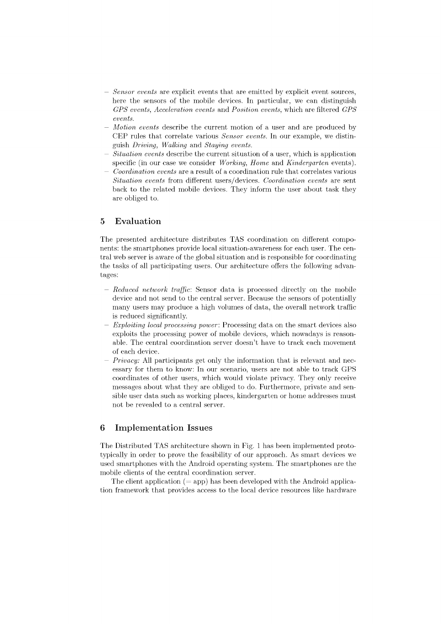- — *Sensor events* are explicit events that are emitted by explicit event sources, here the sensors of the mobile devices. In particular, we can distinguish *GPS events, Acceleration events* and *Position events,* which are filtered *GPS events.*
- *Motion events* describe the current motion of a user and are produced by CEP rules that correlate various *Sensor events.* In our example, we distinguish *Driving, Walking* and *Staying events.*
- *Situation events* describe the current situation of a user, which is application specific (in our case we consider *Working, Home* and *Kindergarten* events).
- — *Coordination events* are a result of a coordination rule that correlates various *Situation events* from different users/devices. *Coordination events* are sent back to the related mobile devices. They inform the user about task they are obliged to.

### 5 Evaluation

The presented architecture distributes TAS coordination on different components: the smartphones provide local situation-awareness for each user. The central web server is aware of the global situation and is responsible for coordinating the tasks of all participating users. Our architecture offers the following advantages:

- — *Reduced network traffic:* Sensor data is processed directly on the mobile device and not send to the central server. Because the sensors of potentially many users may produce a high volumes of data, the overall network traffic is reduced significantly.
- — *Exploiting local processing power:* Processing data on the smart devices also exploits the processing power of mobile devices, which nowadays is reasonable. The central coordination server doesn't have to track each movement of each device.
- *Privacy:* All participants get only the information that is relevant and necessary for them to know: In our scenario, users are not able to track GPS coordinates of other users, which would violate privacy. They only receive messages about what they are obliged to do. Furthermore, private and sensible user data such as working places, kindergarten or home addresses must not be revealed to a central server.

### 6 Implementation Issues

The Distributed TAS architecture shown in Fig. 1 has been implemented prototypically in order to prove the feasibility of our approach. As smart devices we used smartphones with the Android operating system. The smartphones are the mobile clients of the central coordination server.

The client application  $(=$  app) has been developed with the Android application framework that provides access to the local device resources like hardware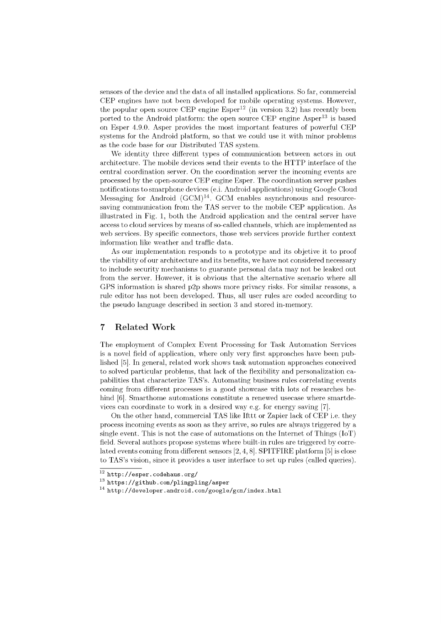sensors of the device and the data of all installed applications. So far, commercial CEP engines have not been developed for mobile operating systems. However, the popular open source CEP engine  $Esper<sup>12</sup>$  (in version 3.2) has recently been ported to the Android platform: the open source CEP engine Asper<sup>13</sup> is based on Esper 4.9.0. Asper provides the most important features of powerful CEP systems for the Android platform, so that we could use it with minor problems as the code base for our Distributed TAS system.

We identity three different types of communication between actors in out architecture. The mobile devices send their events to the HTTP interface of the central coordination server. On the coordination server the incoming events are processed by the open-source CEP engine Esper. The coordination server pushes notifications to smarphone devices (e.i. Android applications) using Google Cloud Messaging for Android (GCM)<sup>14</sup>. GCM enables asynchronous and resourcesaving communication from the TAS server to the mobile CEP application. As illustrated in Fig. 1, both the Android application and the central server have access to cloud services by means of so-called channels, which are implemented as web services. By specific connectors, those web services provide further context information like weather and traffic data.

As our implementation responds to a prototype and its objetive it to proof the viability of our architecture and its benefits, we have not considered necessary to include security mechanisns to guarante personal data may not be leaked out from the server. However, it is obvious that the alternative scenario where all GPS information is shared p2p shows more privacy risks. For similar reasons, a rule editor has not been developed. Thus, all user rules are coded according to the pseudo language described in section 3 and stored in-memory.

### 7 Related Work

The employment of Complex Event Processing for Task Automation Services is a novel field of application, where only very first approaches have been published [5]. In general, related work shows task automation approaches conceived to solved particular problems, that lack of the flexibility and personalization capabilities that characterize TAS's. Automating business rules correlating events coming from different processes is a good showcase with lots of researches behind [6]. Smarthome automations constitute a renewed usecase where smartdevices can coordinate to work in a desired way e.g. for energy saving [7].

On the other hand, commercial TAS like Ifttt or Zapier lack of CEP i.e. they process incoming events as soon as they arrive, so rules are always triggered by a single event. This is not the case of automations on the Internet of Things (IoT) field. Several authors propose systems where built-in rules are triggered by correlated events coming from different sensors [2,4, 8]. SPITFIRE platform [5] is close to TAS's vision, since it provides a user interface to set up rules (called queries).

 $\frac{12 \text{ http://esper.codehaus.org/}}{}$ 

 $13$  [https://github.com/plingpling/aspe](https://github.com/plingpling/asper)r

<http://developer.android.com/google/gcm/index.html>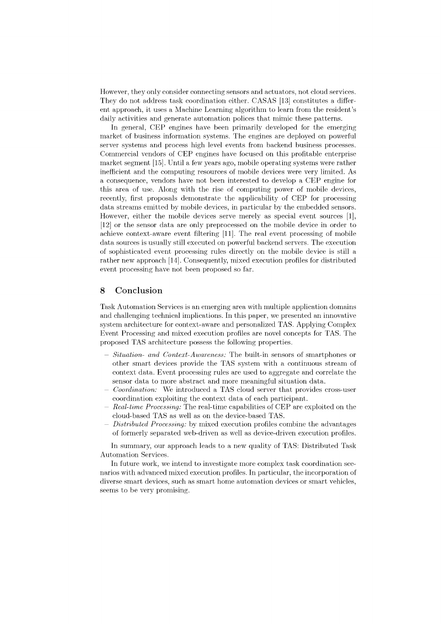However, they only consider connecting sensors and actuators, not cloud services. They do not address task coordination either. CASAS [13] constitutes a different approach, it uses a Machine Learning algorithm to learn from the resident's daily activities and generate automation polices that mimic these patterns.

In general, CEP engines have been primarily developed for the emerging market of business information systems. The engines are deployed on powerful server systems and process high level events from backend business processes. Commercial vendors of CEP engines have focused on this profitable enterprise market segment [15]. Until a few years ago, mobile operating systems were rather inefficient and the computing resources of mobile devices were very limited. As a consequence, vendors have not been interested to develop a CEP engine for this area of use. Along with the rise of computing power of mobile devices, recently, first proposals demonstrate the applicability of CEP for processing data streams emitted by mobile devices, in particular by the embedded sensors. However, either the mobile devices serve merely as special event sources [1], [12] or the sensor data are only preprocessed on the mobile device in order to achieve context-aware event filtering [11]. The real event processing of mobile data sources is usually still executed on powerful backend servers. The execution of sophisticated event processing rules directly on the mobile device is still a rather new approach [14]. Consequently, mixed execution profiles for distributed event processing have not been proposed so far.

# 8 Conclusion

Task Automation Services is an emerging area with multiple application domains and challenging technical implications. In this paper, we presented an innovative system architecture for context-aware and personalized TAS. Applying Complex Event Processing and mixed execution profiles are novel concepts for TAS. The proposed TAS architecture possess the following properties.

- — *Situation- and Context-Awareness:* The built-in sensors of smartphones or other smart devices provide the TAS system with a continuous stream of context data. Event processing rules are used to aggregate and correlate the sensor data to more abstract and more meaningful situation data.
- — *Coordination:* We introduced a TAS cloud server that provides cross-user coordination exploiting the context data of each participant.
- — *Real-time Processing:* The real-time capabilities of CEP are exploited on the cloud-based TAS as well as on the device-based TAS.
- — *Distributed Processing:* by mixed execution profiles combine the advantages of formerly separated web-driven as well as device-driven execution profiles.

In summary, our approach leads to a new quality of TAS: Distributed Task Automation Services.

In future work, we intend to investigate more complex task coordination scenarios with advanced mixed execution profiles. In particular, the incorporation of diverse smart devices, such as smart home automation devices or smart vehicles, seems to be very promising.